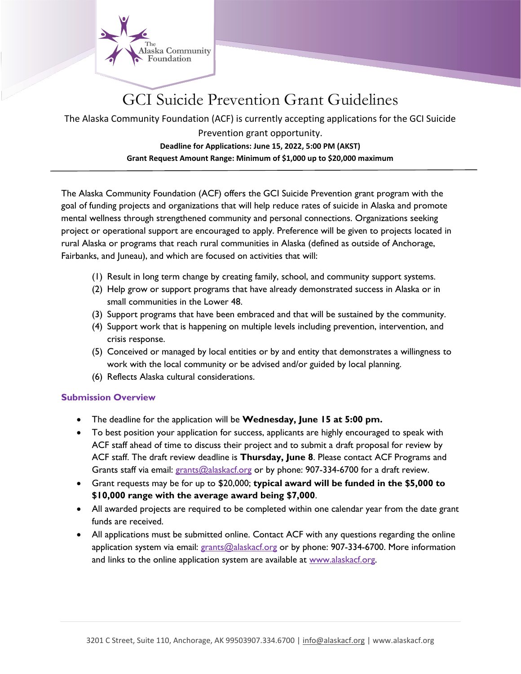

# GCI Suicide Prevention Grant Guidelines

The Alaska Community Foundation (ACF) is currently accepting applications for the GCI Suicide

## Prevention grant opportunity. **Deadline for Applications: June 15, 2022, 5:00 PM (AKST) Grant Request Amount Range: Minimum of \$1,000 up to \$20,000 maximum**

The Alaska Community Foundation (ACF) offers the GCI Suicide Prevention grant program with the goal of funding projects and organizations that will help reduce rates of suicide in Alaska and promote mental wellness through strengthened community and personal connections. Organizations seeking project or operational support are encouraged to apply. Preference will be given to projects located in rural Alaska or programs that reach rural communities in Alaska (defined as outside of Anchorage, Fairbanks, and Juneau), and which are focused on activities that will:

- (1) Result in long term change by creating family, school, and community support systems.
- (2) Help grow or support programs that have already demonstrated success in Alaska or in small communities in the Lower 48.
- (3) Support programs that have been embraced and that will be sustained by the community.
- (4) Support work that is happening on multiple levels including prevention, intervention, and crisis response.
- (5) Conceived or managed by local entities or by and entity that demonstrates a willingness to work with the local community or be advised and/or guided by local planning.
- (6) Reflects Alaska cultural considerations.

## **Submission Overview**

- The deadline for the application will be **Wednesday, June 15 at 5:00 pm.**
- To best position your application for success, applicants are highly encouraged to speak with ACF staff ahead of time to discuss their project and to submit a draft proposal for review by ACF staff. The draft review deadline is **Thursday, June 8**. Please contact ACF Programs and Grants staff via email: [grants@alaskacf.org](mailto:grants@alaskacf.org) or by phone: 907-334-6700 for a draft review.
- Grant requests may be for up to \$20,000; **typical award will be funded in the \$5,000 to \$10,000 range with the average award being \$7,000**.
- All awarded projects are required to be completed within one calendar year from the date grant funds are received.
- All applications must be submitted online. Contact ACF with any questions regarding the online application system via email: [grants@alaskacf.org](mailto:grants@alaskacf.org) or by phone: 907-334-6700. More information and links to the online application system are available at [www.alaskacf.org.](http://www.alaskacf.org/)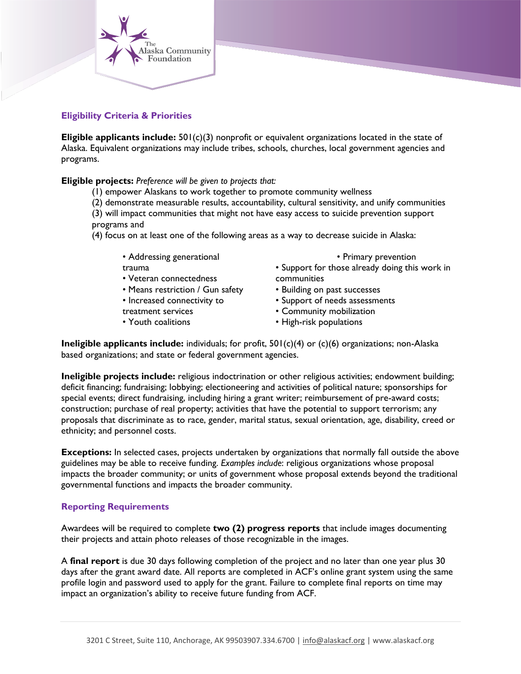

## **Eligibility Criteria & Priorities**

**Eligible applicants include:** 501(c)(3) nonprofit or equivalent organizations located in the state of Alaska. Equivalent organizations may include tribes, schools, churches, local government agencies and programs.

#### **Eligible projects:** *Preference will be given to projects that:*

- (1) empower Alaskans to work together to promote community wellness
- (2) demonstrate measurable results, accountability, cultural sensitivity, and unify communities
- (3) will impact communities that might not have easy access to suicide prevention support programs and
- (4) focus on at least one of the following areas as a way to decrease suicide in Alaska:
	- Addressing generational trauma
	- Veteran connectedness
	- Means restriction / Gun safety
	- Increased connectivity to
	- treatment services
	- Youth coalitions

• Primary prevention

- Support for those already doing this work in communities
- Building on past successes
- Support of needs assessments
- Community mobilization
- High-risk populations

**Ineligible applicants include:** individuals; for profit, 501(c)(4) or (c)(6) organizations; non-Alaska based organizations; and state or federal government agencies.

**Ineligible projects include:** religious indoctrination or other religious activities; endowment building; deficit financing; fundraising; lobbying; electioneering and activities of political nature; sponsorships for special events; direct fundraising, including hiring a grant writer; reimbursement of pre-award costs; construction; purchase of real property; activities that have the potential to support terrorism; any proposals that discriminate as to race, gender, marital status, sexual orientation, age, disability, creed or ethnicity; and personnel costs.

**Exceptions:** In selected cases, projects undertaken by organizations that normally fall outside the above guidelines may be able to receive funding. *Examples include*: religious organizations whose proposal impacts the broader community; or units of government whose proposal extends beyond the traditional governmental functions and impacts the broader community.

#### **Reporting Requirements**

Awardees will be required to complete **two (2) progress reports** that include images documenting their projects and attain photo releases of those recognizable in the images.

A **final report** is due 30 days following completion of the project and no later than one year plus 30 days after the grant award date. All reports are completed in ACF's online grant system using the same profile login and password used to apply for the grant. Failure to complete final reports on time may impact an organization's ability to receive future funding from ACF.